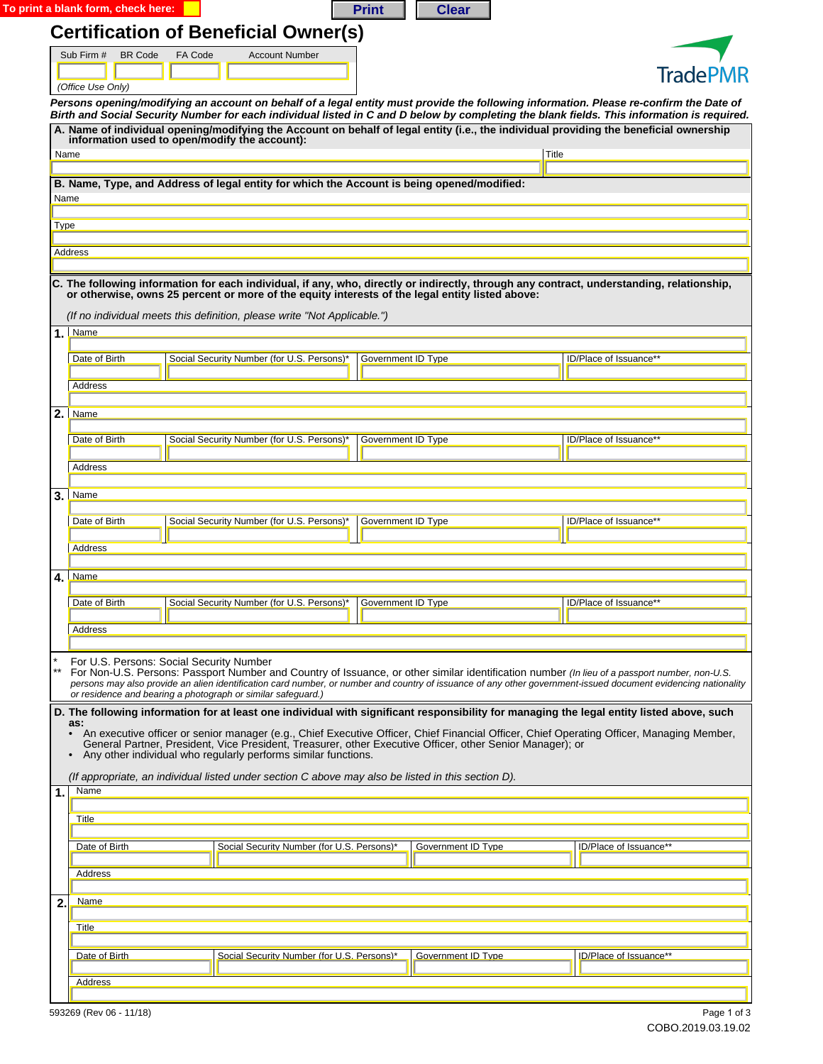|      | <b>Certification of Beneficial Owner(s)</b><br>Sub Firm #<br><b>BR</b> Code<br>FA Code<br><b>Account Number</b>                                                                                                                                                                      |                    |                           |                        |  |  |
|------|--------------------------------------------------------------------------------------------------------------------------------------------------------------------------------------------------------------------------------------------------------------------------------------|--------------------|---------------------------|------------------------|--|--|
|      | (Office Use Only)                                                                                                                                                                                                                                                                    |                    |                           | <b>TradePMR</b>        |  |  |
|      | Persons opening/modifying an account on behalf of a legal entity must provide the following information. Please re-confirm the Date of<br>Birth and Social Security Number for each individual listed in C and D below by completing the blank fields. This information is required. |                    |                           |                        |  |  |
|      | A. Name of individual opening/modifying the Account on behalf of legal entity (i.e., the individual providing the beneficial ownership<br>information used to open/modify the account):                                                                                              |                    |                           |                        |  |  |
|      | Name                                                                                                                                                                                                                                                                                 |                    |                           | Title                  |  |  |
|      | B. Name, Type, and Address of legal entity for which the Account is being opened/modified:                                                                                                                                                                                           |                    |                           |                        |  |  |
| Name |                                                                                                                                                                                                                                                                                      |                    |                           |                        |  |  |
| Type |                                                                                                                                                                                                                                                                                      |                    |                           |                        |  |  |
|      | Address                                                                                                                                                                                                                                                                              |                    |                           |                        |  |  |
|      |                                                                                                                                                                                                                                                                                      |                    |                           |                        |  |  |
|      | C. The following information for each individual, if any, who, directly or indirectly, through any contract, understanding, relationship,<br>or otherwise, owns 25 percent or more of the equity interests of the legal entity listed above:                                         |                    |                           |                        |  |  |
|      | (If no individual meets this definition, please write "Not Applicable.")                                                                                                                                                                                                             |                    |                           |                        |  |  |
|      | $1.$ Name                                                                                                                                                                                                                                                                            |                    |                           |                        |  |  |
|      | Social Security Number (for U.S. Persons)'<br>Date of Birth                                                                                                                                                                                                                          | Government ID Type |                           | ID/Place of Issuance** |  |  |
|      | Address                                                                                                                                                                                                                                                                              |                    |                           |                        |  |  |
|      | $2.$ Name                                                                                                                                                                                                                                                                            |                    |                           |                        |  |  |
|      |                                                                                                                                                                                                                                                                                      |                    |                           |                        |  |  |
|      | Social Security Number (for U.S. Persons)*<br>Date of Birth                                                                                                                                                                                                                          | Government ID Type |                           | ID/Place of Issuance** |  |  |
|      | Address                                                                                                                                                                                                                                                                              |                    |                           |                        |  |  |
|      | $3.$ Name                                                                                                                                                                                                                                                                            |                    |                           |                        |  |  |
|      | Social Security Number (for U.S. Persons)*<br>Date of Birth                                                                                                                                                                                                                          | Government ID Type |                           | ID/Place of Issuance** |  |  |
|      | Address                                                                                                                                                                                                                                                                              |                    |                           |                        |  |  |
|      | $4.$ Name                                                                                                                                                                                                                                                                            |                    |                           |                        |  |  |
|      | Date of Birth<br>Social Security Number (for U.S. Persons)*                                                                                                                                                                                                                          | Government ID Type |                           | ID/Place of Issuance** |  |  |
|      |                                                                                                                                                                                                                                                                                      |                    |                           |                        |  |  |
|      | Address                                                                                                                                                                                                                                                                              |                    |                           |                        |  |  |
|      | For U.S. Persons: Social Security Number<br>For Non-U.S. Persons: Passport Number and Country of Issuance, or other similar identification number (In lieu of a passport number, non-U.S.                                                                                            |                    |                           |                        |  |  |
|      | persons may also provide an alien identification card number, or number and country of issuance of any other government-issued document evidencing nationality<br>or residence and bearing a photograph or similar safeguard.)                                                       |                    |                           |                        |  |  |
|      | D. The following information for at least one individual with significant responsibility for managing the legal entity listed above, such<br>as:                                                                                                                                     |                    |                           |                        |  |  |
|      | An executive officer or senior manager (e.g., Chief Executive Officer, Chief Financial Officer, Chief Operating Officer, Managing Member,<br>$\bullet$<br>General Partner, President, Vice President, Treasurer, other Executive Officer, other Senior Manager); or                  |                    |                           |                        |  |  |
|      | Any other individual who regularly performs similar functions.                                                                                                                                                                                                                       |                    |                           |                        |  |  |
| 1.   | (If appropriate, an individual listed under section C above may also be listed in this section D).<br>Name                                                                                                                                                                           |                    |                           |                        |  |  |
|      |                                                                                                                                                                                                                                                                                      |                    |                           |                        |  |  |
|      | <b>Title</b>                                                                                                                                                                                                                                                                         |                    |                           |                        |  |  |
|      | Social Security Number (for U.S. Persons)*<br>Date of Birth                                                                                                                                                                                                                          |                    | <b>Government ID Type</b> | ID/Place of Issuance** |  |  |
|      | Address                                                                                                                                                                                                                                                                              |                    |                           |                        |  |  |

Date of Birth Social Security Number (for U.S. Persons)\* Government ID Type

| Address                 |
|-------------------------|
|                         |
| 593269 (Rev 06 - 11/18) |

ID/Place of Issuance\*\*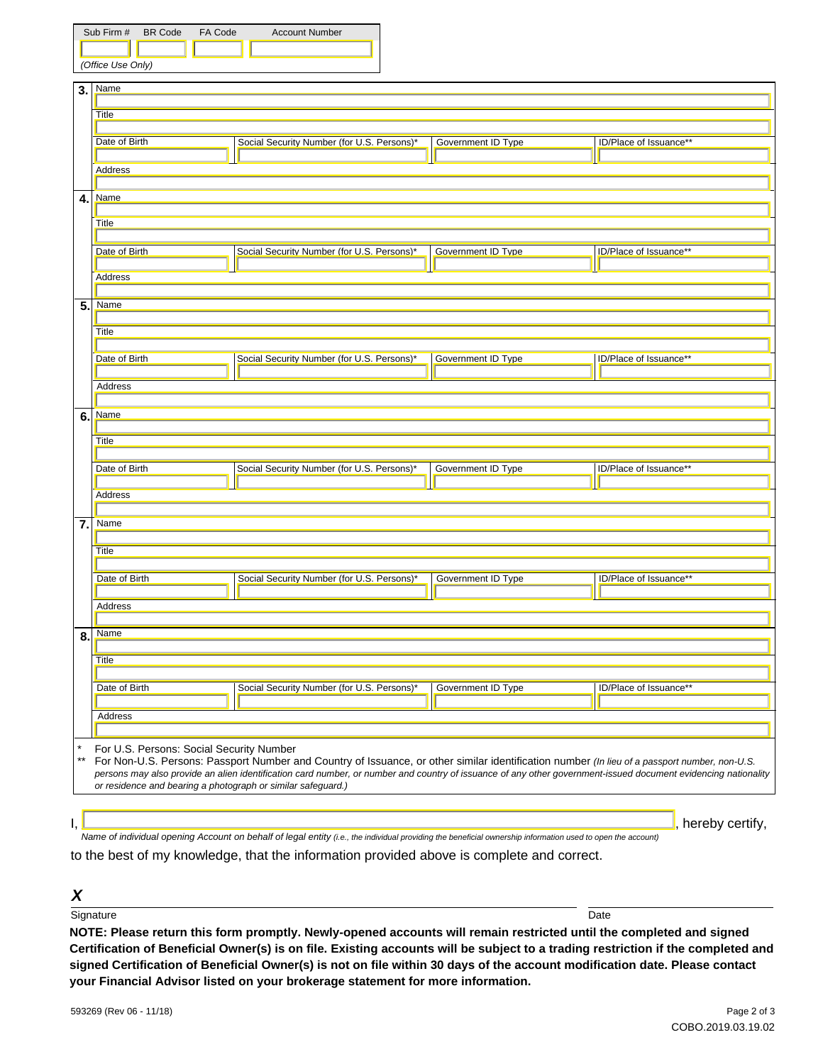| Sub Firm # BR Code |  | FA Code | <b>Account Number</b> |  |  |  |
|--------------------|--|---------|-----------------------|--|--|--|
|                    |  |         |                       |  |  |  |
| (Office Use Only)  |  |         |                       |  |  |  |

|                 | $\blacksquare$                                                                                                                                                                                                                 |  |                           |                        |  |  |  |
|-----------------|--------------------------------------------------------------------------------------------------------------------------------------------------------------------------------------------------------------------------------|--|---------------------------|------------------------|--|--|--|
| 3.              | <b>Name</b>                                                                                                                                                                                                                    |  |                           |                        |  |  |  |
|                 | Title                                                                                                                                                                                                                          |  |                           |                        |  |  |  |
|                 |                                                                                                                                                                                                                                |  |                           |                        |  |  |  |
|                 | Date of Birth<br>Social Security Number (for U.S. Persons)*                                                                                                                                                                    |  | Government ID Type        | ID/Place of Issuance** |  |  |  |
|                 | <b>Address</b>                                                                                                                                                                                                                 |  |                           |                        |  |  |  |
|                 |                                                                                                                                                                                                                                |  |                           |                        |  |  |  |
|                 | <b>Name</b>                                                                                                                                                                                                                    |  |                           |                        |  |  |  |
| 4.              |                                                                                                                                                                                                                                |  |                           |                        |  |  |  |
|                 | Title                                                                                                                                                                                                                          |  |                           |                        |  |  |  |
|                 |                                                                                                                                                                                                                                |  |                           |                        |  |  |  |
|                 | Date of Birth<br>Social Security Number (for U.S. Persons)*                                                                                                                                                                    |  | <b>Government ID Type</b> | ID/Place of Issuance** |  |  |  |
|                 |                                                                                                                                                                                                                                |  |                           |                        |  |  |  |
|                 | Address                                                                                                                                                                                                                        |  |                           |                        |  |  |  |
|                 |                                                                                                                                                                                                                                |  |                           |                        |  |  |  |
| 5.              | Name                                                                                                                                                                                                                           |  |                           |                        |  |  |  |
|                 |                                                                                                                                                                                                                                |  |                           |                        |  |  |  |
|                 | Title                                                                                                                                                                                                                          |  |                           |                        |  |  |  |
|                 |                                                                                                                                                                                                                                |  |                           |                        |  |  |  |
|                 | Social Security Number (for U.S. Persons)*<br>Date of Birth                                                                                                                                                                    |  | Government ID Type        | ID/Place of Issuance** |  |  |  |
|                 |                                                                                                                                                                                                                                |  |                           |                        |  |  |  |
|                 | Address                                                                                                                                                                                                                        |  |                           |                        |  |  |  |
|                 |                                                                                                                                                                                                                                |  |                           |                        |  |  |  |
| 6.              | Name                                                                                                                                                                                                                           |  |                           |                        |  |  |  |
|                 |                                                                                                                                                                                                                                |  |                           |                        |  |  |  |
|                 | <b>Title</b>                                                                                                                                                                                                                   |  |                           |                        |  |  |  |
|                 | Date of Birth<br>Social Security Number (for U.S. Persons)*                                                                                                                                                                    |  | Government ID Type        | ID/Place of Issuance** |  |  |  |
|                 |                                                                                                                                                                                                                                |  |                           |                        |  |  |  |
|                 | Address                                                                                                                                                                                                                        |  |                           |                        |  |  |  |
|                 |                                                                                                                                                                                                                                |  |                           |                        |  |  |  |
| $\overline{7.}$ | <b>Name</b>                                                                                                                                                                                                                    |  |                           |                        |  |  |  |
|                 |                                                                                                                                                                                                                                |  |                           |                        |  |  |  |
|                 | Title                                                                                                                                                                                                                          |  |                           |                        |  |  |  |
|                 |                                                                                                                                                                                                                                |  |                           |                        |  |  |  |
|                 | Date of Birth<br>Social Security Number (for U.S. Persons)*                                                                                                                                                                    |  | Government ID Type        | ID/Place of Issuance** |  |  |  |
|                 |                                                                                                                                                                                                                                |  |                           |                        |  |  |  |
|                 | Address                                                                                                                                                                                                                        |  |                           |                        |  |  |  |
|                 |                                                                                                                                                                                                                                |  |                           |                        |  |  |  |
| 8.              | Name                                                                                                                                                                                                                           |  |                           |                        |  |  |  |
|                 |                                                                                                                                                                                                                                |  |                           |                        |  |  |  |
|                 | <b>Title</b>                                                                                                                                                                                                                   |  |                           |                        |  |  |  |
|                 | Date of Birth<br>Social Security Number (for U.S. Persons)*                                                                                                                                                                    |  | Government ID Type        | ID/Place of Issuance** |  |  |  |
|                 |                                                                                                                                                                                                                                |  |                           |                        |  |  |  |
|                 |                                                                                                                                                                                                                                |  |                           |                        |  |  |  |
|                 | Address                                                                                                                                                                                                                        |  |                           |                        |  |  |  |
|                 |                                                                                                                                                                                                                                |  |                           |                        |  |  |  |
|                 | For U.S. Persons: Social Security Number                                                                                                                                                                                       |  |                           |                        |  |  |  |
| $^{\star\star}$ | For Non-U.S. Persons: Passport Number and Country of Issuance, or other similar identification number (In lieu of a passport number, non-U.S.                                                                                  |  |                           |                        |  |  |  |
|                 | persons may also provide an alien identification card number, or number and country of issuance of any other government-issued document evidencing nationality<br>or residence and bearing a photograph or similar safeguard.) |  |                           |                        |  |  |  |
|                 |                                                                                                                                                                                                                                |  |                           |                        |  |  |  |
|                 |                                                                                                                                                                                                                                |  |                           |                        |  |  |  |
|                 |                                                                                                                                                                                                                                |  |                           | , hereby certify,      |  |  |  |
|                 |                                                                                                                                                                                                                                |  |                           |                        |  |  |  |

*Name of individual opening Account on behalf of legal entity (i.e., the individual providing the beneficial ownership information used to open the account)*

to the best of my knowledge, that the information provided above is complete and correct.

## *X*

signature that the control of the control of the control of the control of the control of the control of the control of the control of the control of the control of the control of the control of the control of the control

**NOTE: Please return this form promptly. Newly-opened accounts will remain restricted until the completed and signed Certification of Beneficial Owner(s) is on file. Existing accounts will be subject to a trading restriction if the completed and signed Certification of Beneficial Owner(s) is not on file within 30 days of the account modification date. Please contact your Financial Advisor listed on your brokerage statement for more information.**